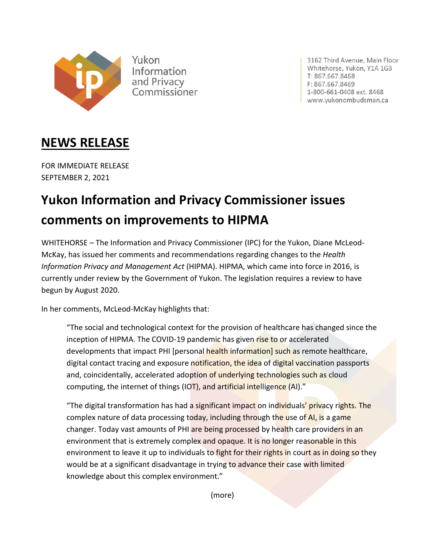

Yukon Information and Privacy pmmissioner 3162 Third Avenue, Main Floor Whitehorse, Yukon, Y1A 1G3 T: 867.667.8468 F: 867.667.8469 1-800-661-0408 ext. 8468 www.yukonombudsman.ca

## **NEWS RELEASE**

FOR IMMEDIATE RELEASE SEPTEMBER 2, 2021

## **Yukon Information and Privacy Commissioner issues comments on improvements to HIPMA**

WHITEHORSE – The Information and Privacy Commissioner (IPC) for the Yukon, Diane McLeod-McKay, has issued her comments and recommendations regarding changes to the *Health Information Privacy and Management Act* (HIPMA). HIPMA, which came into force in 2016, is currently under review by the Government of Yukon. The legislation requires a review to have begun by August 2020.

In her comments, McLeod-McKay highlights that:

"The social and technological context for the provision of healthcare has changed since the inception of HIPMA. The COVID-19 pandemic has given rise to or accelerated developments that impact PHI [personal health information] such as remote healthcare, digital contact tracing and exposure notification, the idea of digital vaccination passports and, coincidentally, accelerated adoption of underlying technologies such as cloud computing, the internet of things (IOT), and artificial intelligence (AI)."

"The digital transformation has had a significant impact on individuals' privacy rights. The complex nature of data processing today, including through the use of AI, is a game changer. Today vast amounts of PHI are being processed by health care providers in an environment that is extremely complex and opaque. It is no longer reasonable in this environment to leave it up to individuals to fight for their rights in court as in doing so they would be at a significant disadvantage in trying to advance their case with limited knowledge about this complex environment."

(more)